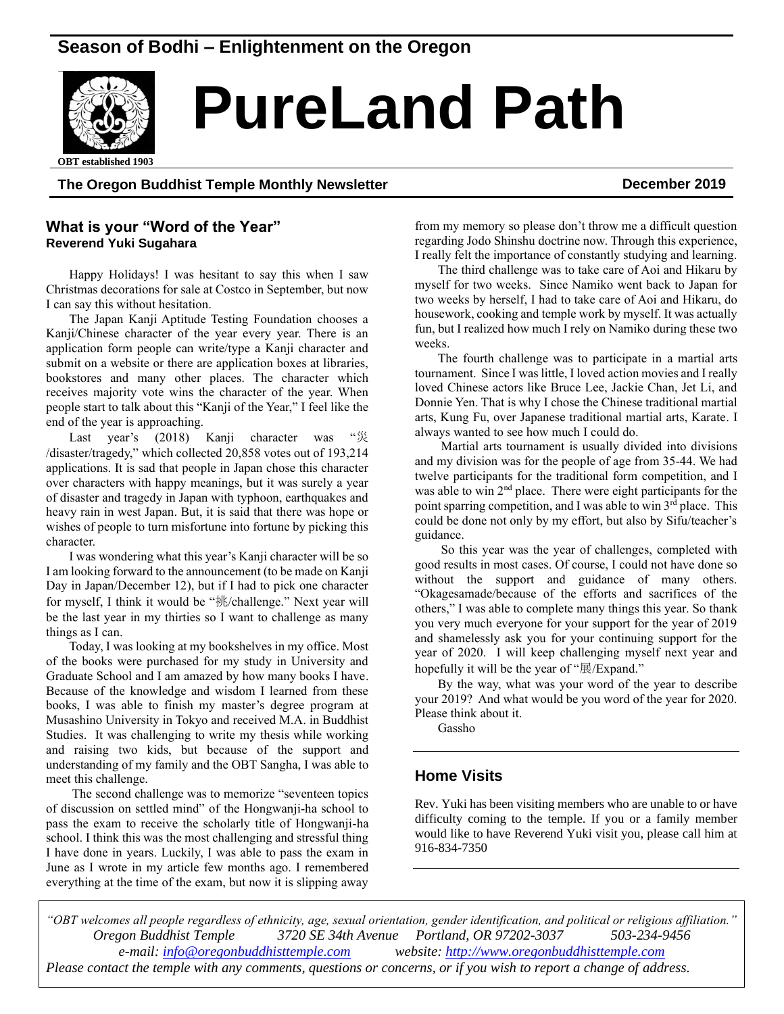# **Season of Bodhi – Enlightenment on the Oregon**



# *Real* PureLand Path

**OBT** established 1903

# **The Oregon Buddhist Temple Monthly Newsletter December 2019**

#### **What is your "Word of the Year" Reverend Yuki Sugahara**

Happy Holidays! I was hesitant to say this when I saw Christmas decorations for sale at Costco in September, but now I can say this without hesitation.

The Japan Kanji Aptitude Testing Foundation chooses a Kanji/Chinese character of the year every year. There is an application form people can write/type a Kanji character and submit on a website or there are application boxes at libraries, bookstores and many other places. The character which receives majority vote wins the character of the year. When people start to talk about this "Kanji of the Year," I feel like the end of the year is approaching.

Last year's (2018) Kanji character was "災 /disaster/tragedy," which collected 20,858 votes out of 193,214 applications. It is sad that people in Japan chose this character over characters with happy meanings, but it was surely a year of disaster and tragedy in Japan with typhoon, earthquakes and heavy rain in west Japan. But, it is said that there was hope or wishes of people to turn misfortune into fortune by picking this character.

I was wondering what this year's Kanji character will be so I am looking forward to the announcement (to be made on Kanji Day in Japan/December 12), but if I had to pick one character for myself, I think it would be "挑/challenge." Next year will be the last year in my thirties so I want to challenge as many things as I can.

Today, I was looking at my bookshelves in my office. Most of the books were purchased for my study in University and Graduate School and I am amazed by how many books I have. Because of the knowledge and wisdom I learned from these books, I was able to finish my master's degree program at Musashino University in Tokyo and received M.A. in Buddhist Studies. It was challenging to write my thesis while working and raising two kids, but because of the support and understanding of my family and the OBT Sangha, I was able to meet this challenge.

The second challenge was to memorize "seventeen topics of discussion on settled mind" of the Hongwanji-ha school to pass the exam to receive the scholarly title of Hongwanji-ha school. I think this was the most challenging and stressful thing I have done in years. Luckily, I was able to pass the exam in June as I wrote in my article few months ago. I remembered everything at the time of the exam, but now it is slipping away

from my memory so please don't throw me a difficult question regarding Jodo Shinshu doctrine now. Through this experience, I really felt the importance of constantly studying and learning.

The third challenge was to take care of Aoi and Hikaru by myself for two weeks. Since Namiko went back to Japan for two weeks by herself, I had to take care of Aoi and Hikaru, do housework, cooking and temple work by myself. It was actually fun, but I realized how much I rely on Namiko during these two weeks.

The fourth challenge was to participate in a martial arts tournament. Since I was little, I loved action movies and I really loved Chinese actors like Bruce Lee, Jackie Chan, Jet Li, and Donnie Yen. That is why I chose the Chinese traditional martial arts, Kung Fu, over Japanese traditional martial arts, Karate. I always wanted to see how much I could do.

Martial arts tournament is usually divided into divisions and my division was for the people of age from 35-44. We had twelve participants for the traditional form competition, and I was able to win 2<sup>nd</sup> place. There were eight participants for the point sparring competition, and I was able to win 3<sup>rd</sup> place. This could be done not only by my effort, but also by Sifu/teacher's guidance.

So this year was the year of challenges, completed with good results in most cases. Of course, I could not have done so without the support and guidance of many others. "Okagesamade/because of the efforts and sacrifices of the others," I was able to complete many things this year. So thank you very much everyone for your support for the year of 2019 and shamelessly ask you for your continuing support for the year of 2020. I will keep challenging myself next year and hopefully it will be the year of "展/Expand."

By the way, what was your word of the year to describe your 2019? And what would be you word of the year for 2020. Please think about it.

Gassho

## **Home Visits**

Rev. Yuki has been visiting members who are unable to or have difficulty coming to the temple. If you or a family member would like to have Reverend Yuki visit you, please call him at 916-834-7350

*"OBT welcomes all people regardless of ethnicity, age, sexual orientation, gender identification, and political or religious affiliation." Oregon Buddhist Temple 3720 SE 34th Avenue Portland, OR 97202-3037 503-234-9456 e-mail: [info@oregonbuddhisttemple.com](mailto:info@oregonbuddhisttemple.com) website: [http://www.oregonbuddhisttemple.com](http://www.oregonbuddhisttemple.com/) Please contact the temple with any comments, questions or concerns, or if you wish to report a change of address.*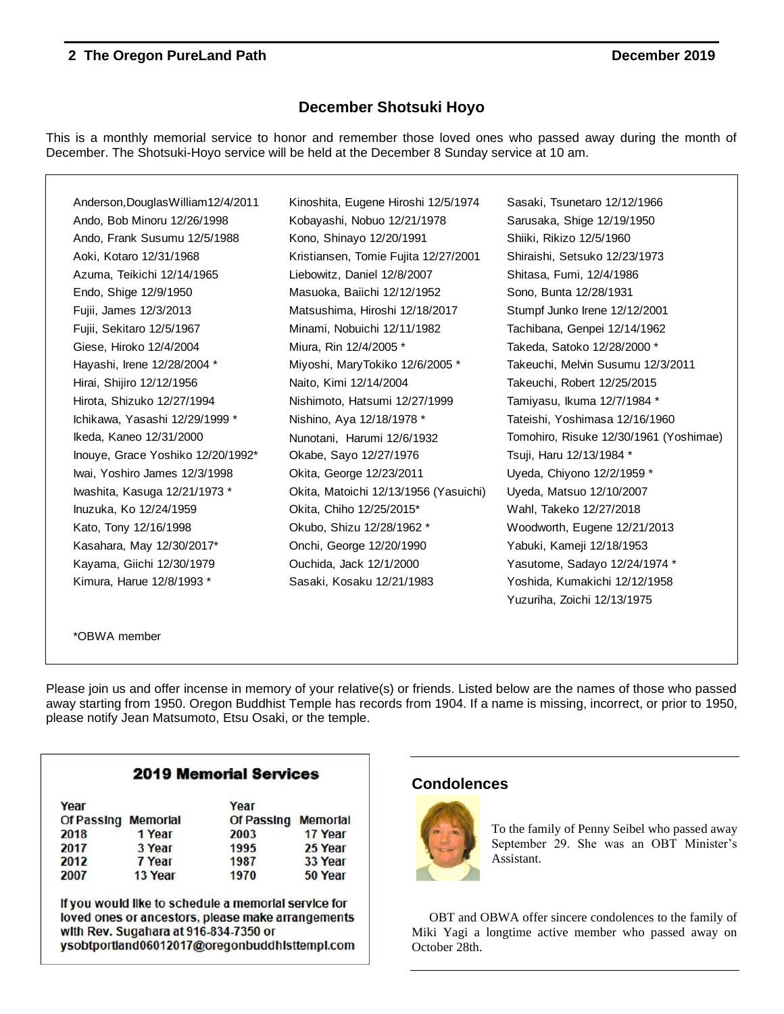## **December Shotsuki Hoyo**

This is a monthly memorial service to honor and remember those loved ones who passed away during the month of December. The Shotsuki-Hoyo service will be held at the December 8 Sunday service at 10 am.

Anderson,DouglasWilliam12/4/2011 Kinoshita, Eugene Hiroshi 12/5/1974 Sasaki, Tsunetaro 12/12/1966 Ando, Bob Minoru 12/26/1998 Kobayashi, Nobuo 12/21/1978 Sarusaka, Shige 12/19/1950 Ando, Frank Susumu 12/5/1988 Kono, Shinayo 12/20/1991 Shiiki, Rikizo 12/5/1960 Aoki, Kotaro 12/31/1968 Kristiansen, Tomie Fujita 12/27/2001 Shiraishi, Setsuko 12/23/1973 Azuma, Teikichi 12/14/1965 Liebowitz, Daniel 12/8/2007 Shitasa, Fumi, 12/4/1986 Endo, Shige 12/9/1950 Masuoka, Baiichi 12/12/1952 Sono, Bunta 12/28/1931 Fujii, James 12/3/2013 Matsushima, Hiroshi 12/18/2017 Stumpf Junko Irene 12/12/2001 Fujii, Sekitaro 12/5/1967 Minami, Nobuichi 12/11/1982 Tachibana, Genpei 12/14/1962 Giese, Hiroko 12/4/2004 Miura, Rin 12/4/2005 \* Takeda, Satoko 12/28/2000 \* Hayashi, Irene 12/28/2004 \* Miyoshi, MaryTokiko 12/6/2005 \* Takeuchi, Melvin Susumu 12/3/2011 Hirai, Shijiro 12/12/1956 Naito, Kimi 12/14/2004 Takeuchi, Robert 12/25/2015 Hirota, Shizuko 12/27/1994 Nishimoto, Hatsumi 12/27/1999 Tamiyasu, Ikuma 12/7/1984 \* Ichikawa, Yasashi 12/29/1999 \* Nishino, Aya 12/18/1978 \* Tateishi, Yoshimasa 12/16/1960 Inouye, Grace Yoshiko 12/20/1992\* Ckabe, Sayo 12/27/1976 Tsuji, Haru 12/13/1984 \* Iwai, Yoshiro James 12/3/1998 Okita, George 12/23/2011 Uyeda, Chiyono 12/2/1959 \* Iwashita, Kasuga 12/21/1973 \* Okita, Matoichi 12/13/1956 (Yasuichi) Uyeda, Matsuo 12/10/2007 Inuzuka, Ko 12/24/1959 Okita, Chiho 12/25/2015\* Wahl, Takeko 12/27/2018 Kato, Tony 12/16/1998 Okubo, Shizu 12/28/1962 \* Woodworth, Eugene 12/21/2013 Kasahara, May 12/30/2017\* Onchi, George 12/20/1990 Yabuki, Kameji 12/18/1953 Kayama, Giichi 12/30/1979 Ouchida, Jack 12/1/2000 Yasutome, Sadayo 12/24/1974 \* Kimura, Harue 12/8/1993 \* Sasaki, Kosaku 12/21/1983 Yoshida, Kumakichi 12/12/1958

Ikeda, Kaneo 12/31/2000 Nunotani, Harumi 12/6/1932 Tomohiro, Risuke 12/30/1961 (Yoshimae) Yuzuriha, Zoichi 12/13/1975

\*OBWA member

Please join us and offer incense in memory of your relative(s) or friends. Listed below are the names of those who passed away starting from 1950. Oregon Buddhist Temple has records from 1904. If a name is missing, incorrect, or prior to 1950, please notify Jean Matsumoto, Etsu Osaki, or the temple.

| <b>2019 Memorial Services</b> |         |                     |         |  |  |  |
|-------------------------------|---------|---------------------|---------|--|--|--|
| Year                          |         | Year                |         |  |  |  |
| <b>Of Passing Memorial</b>    |         | Of Passing Memorial |         |  |  |  |
| 2018                          | 1 Year  | 2003                | 17 Year |  |  |  |
| 2017                          | 3 Year  | 1995                | 25 Year |  |  |  |
| 2012                          | 7 Year  | 1987                | 33 Year |  |  |  |
| 2007                          | 13 Year | 1970                | 50 Year |  |  |  |

If you would like to schedule a memorial service for loved ones or ancestors, please make arrangements with Rev. Sugahara at 916-834-7350 or ysobtportland06012017@oregonbuddhlsttempl.com

# **Condolences**



To the family of Penny Seibel who passed away September 29. She was an OBT Minister's Assistant.

OBT and OBWA offer sincere condolences to the family of Miki Yagi a longtime active member who passed away on October 28th.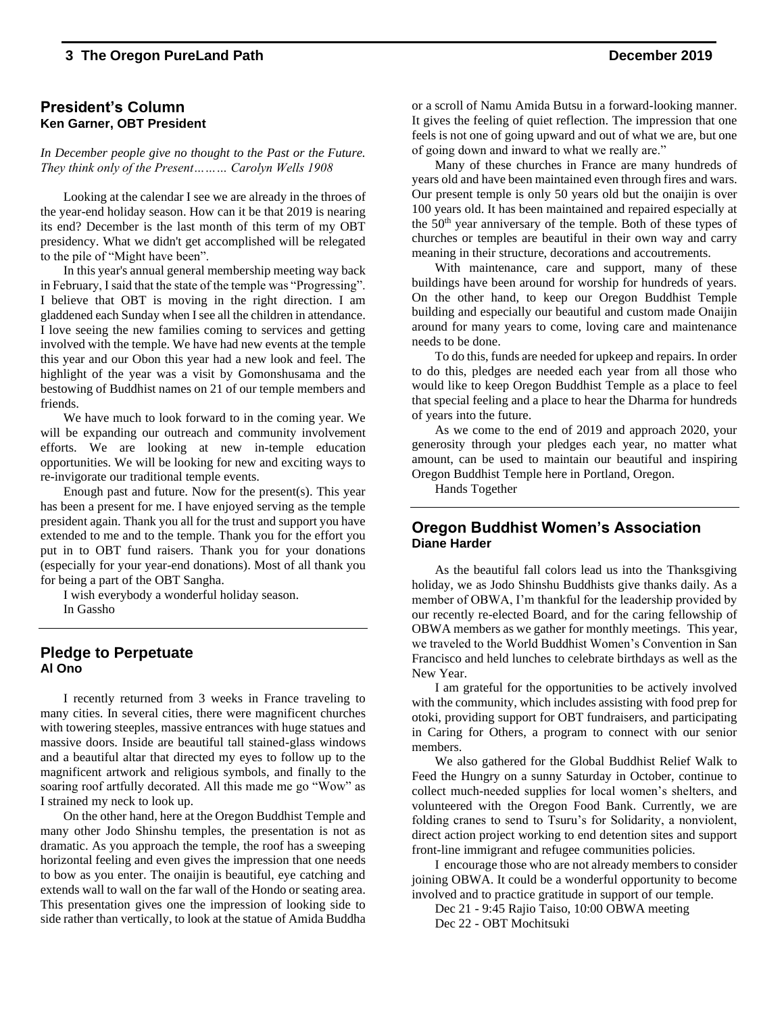#### **President's Column Ken Garner, OBT President**

*In December people give no thought to the Past or the Future. They think only of the Present……… Carolyn Wells 1908*

Looking at the calendar I see we are already in the throes of the year-end holiday season. How can it be that 2019 is nearing its end? December is the last month of this term of my OBT presidency. What we didn't get accomplished will be relegated to the pile of "Might have been".

In this year's annual general membership meeting way back in February, I said that the state of the temple was "Progressing". I believe that OBT is moving in the right direction. I am gladdened each Sunday when I see all the children in attendance. I love seeing the new families coming to services and getting involved with the temple. We have had new events at the temple this year and our Obon this year had a new look and feel. The highlight of the year was a visit by Gomonshusama and the bestowing of Buddhist names on 21 of our temple members and friends.

We have much to look forward to in the coming year. We will be expanding our outreach and community involvement efforts. We are looking at new in-temple education opportunities. We will be looking for new and exciting ways to re-invigorate our traditional temple events.

Enough past and future. Now for the present(s). This year has been a present for me. I have enjoyed serving as the temple president again. Thank you all for the trust and support you have extended to me and to the temple. Thank you for the effort you put in to OBT fund raisers. Thank you for your donations (especially for your year-end donations). Most of all thank you for being a part of the OBT Sangha.

I wish everybody a wonderful holiday season. In Gassho

#### **Pledge to Perpetuate Al Ono**

I recently returned from 3 weeks in France traveling to many cities. In several cities, there were magnificent churches with towering steeples, massive entrances with huge statues and massive doors. Inside are beautiful tall stained-glass windows and a beautiful altar that directed my eyes to follow up to the magnificent artwork and religious symbols, and finally to the soaring roof artfully decorated. All this made me go "Wow" as I strained my neck to look up.

On the other hand, here at the Oregon Buddhist Temple and many other Jodo Shinshu temples, the presentation is not as dramatic. As you approach the temple, the roof has a sweeping horizontal feeling and even gives the impression that one needs to bow as you enter. The onaijin is beautiful, eye catching and extends wall to wall on the far wall of the Hondo or seating area. This presentation gives one the impression of looking side to side rather than vertically, to look at the statue of Amida Buddha or a scroll of Namu Amida Butsu in a forward-looking manner. It gives the feeling of quiet reflection. The impression that one feels is not one of going upward and out of what we are, but one of going down and inward to what we really are."

Many of these churches in France are many hundreds of years old and have been maintained even through fires and wars. Our present temple is only 50 years old but the onaijin is over 100 years old. It has been maintained and repaired especially at the 50th year anniversary of the temple. Both of these types of churches or temples are beautiful in their own way and carry meaning in their structure, decorations and accoutrements.

With maintenance, care and support, many of these buildings have been around for worship for hundreds of years. On the other hand, to keep our Oregon Buddhist Temple building and especially our beautiful and custom made Onaijin around for many years to come, loving care and maintenance needs to be done.

To do this, funds are needed for upkeep and repairs. In order to do this, pledges are needed each year from all those who would like to keep Oregon Buddhist Temple as a place to feel that special feeling and a place to hear the Dharma for hundreds of years into the future.

As we come to the end of 2019 and approach 2020, your generosity through your pledges each year, no matter what amount, can be used to maintain our beautiful and inspiring Oregon Buddhist Temple here in Portland, Oregon.

Hands Together

#### **Oregon Buddhist Women's Association Diane Harder**

As the beautiful fall colors lead us into the Thanksgiving holiday, we as Jodo Shinshu Buddhists give thanks daily. As a member of OBWA, I'm thankful for the leadership provided by our recently re-elected Board, and for the caring fellowship of OBWA members as we gather for monthly meetings. This year, we traveled to the World Buddhist Women's Convention in San Francisco and held lunches to celebrate birthdays as well as the New Year.

I am grateful for the opportunities to be actively involved with the community, which includes assisting with food prep for otoki, providing support for OBT fundraisers, and participating in Caring for Others, a program to connect with our senior members.

We also gathered for the Global Buddhist Relief Walk to Feed the Hungry on a sunny Saturday in October, continue to collect much-needed supplies for local women's shelters, and volunteered with the Oregon Food Bank. Currently, we are folding cranes to send to Tsuru's for Solidarity, a nonviolent, direct action project working to end detention sites and support front-line immigrant and refugee communities policies.

I encourage those who are not already members to consider joining OBWA. It could be a wonderful opportunity to become involved and to practice gratitude in support of our temple.

Dec 21 - 9:45 Rajio Taiso, 10:00 OBWA meeting Dec 22 - OBT Mochitsuki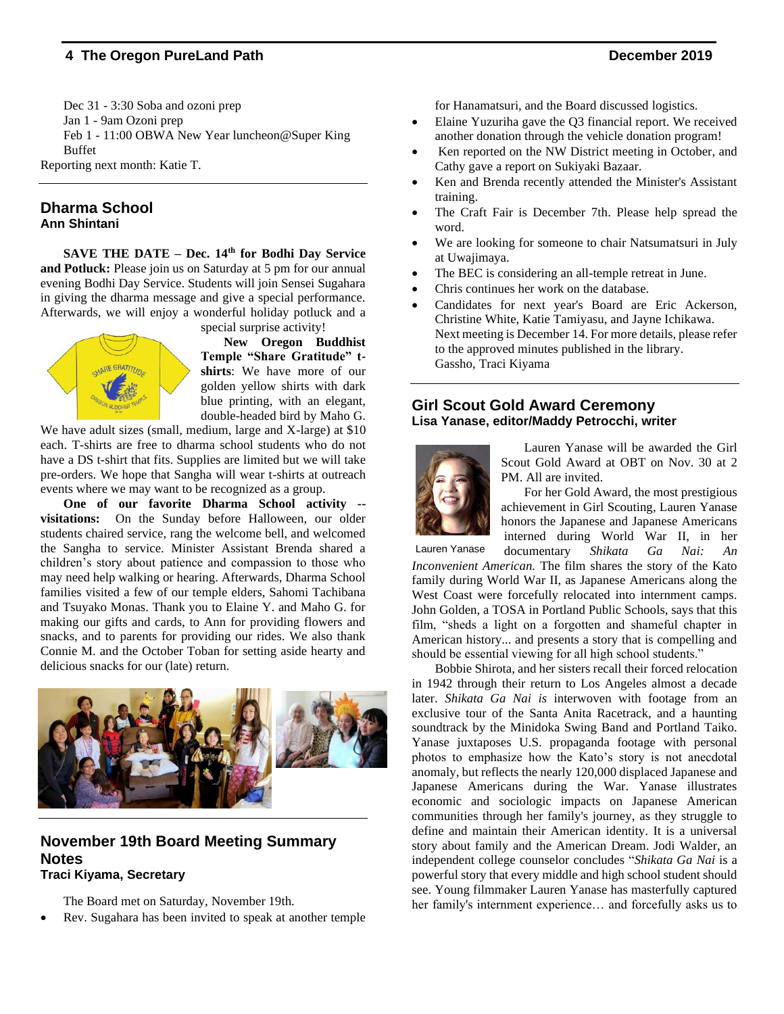Dec 31 - 3:30 Soba and ozoni prep Jan 1 - 9am Ozoni prep Feb 1 - 11:00 OBWA New Year luncheon@Super King Buffet Reporting next month: Katie T.

# **Dharma School**

#### **Ann Shintani**

**SAVE THE DATE – Dec. 14th for Bodhi Day Service and Potluck:** Please join us on Saturday at 5 pm for our annual evening Bodhi Day Service. Students will join Sensei Sugahara in giving the dharma message and give a special performance. Afterwards, we will enjoy a wonderful holiday potluck and a

special surprise activity!

**New Oregon Buddhist Temple "Share Gratitude" tshirts**: We have more of our golden yellow shirts with dark blue printing, with an elegant, double-headed bird by Maho G.

We have adult sizes (small, medium, large and X-large) at \$10 each. T-shirts are free to dharma school students who do not have a DS t-shirt that fits. Supplies are limited but we will take pre-orders. We hope that Sangha will wear t-shirts at outreach events where we may want to be recognized as a group.

**One of our favorite Dharma School activity - visitations:** On the Sunday before Halloween, our older students chaired service, rang the welcome bell, and welcomed the Sangha to service. Minister Assistant Brenda shared a children's story about patience and compassion to those who may need help walking or hearing. Afterwards, Dharma School families visited a few of our temple elders, Sahomi Tachibana and Tsuyako Monas. Thank you to Elaine Y. and Maho G. for making our gifts and cards, to Ann for providing flowers and snacks, and to parents for providing our rides. We also thank Connie M. and the October Toban for setting aside hearty and delicious snacks for our (late) return.



#### **November 19th Board Meeting Summary Notes Traci Kiyama, Secretary**

The Board met on Saturday, November 19th.

• Rev. Sugahara has been invited to speak at another temple

for Hanamatsuri, and the Board discussed logistics.

- Elaine Yuzuriha gave the Q3 financial report. We received another donation through the vehicle donation program!
- Ken reported on the NW District meeting in October, and Cathy gave a report on Sukiyaki Bazaar.
- Ken and Brenda recently attended the Minister's Assistant training.
- The Craft Fair is December 7th. Please help spread the word.
- We are looking for someone to chair Natsumatsuri in July at Uwajimaya.
- The BEC is considering an all-temple retreat in June.
- Chris continues her work on the database.
- Candidates for next year's Board are Eric Ackerson, Christine White, Katie Tamiyasu, and Jayne Ichikawa. Next meeting is December 14. For more details, please refer to the approved minutes published in the library. Gassho, Traci Kiyama

#### **Girl Scout Gold Award Ceremony Lisa Yanase, editor/Maddy Petrocchi, writer**



Lauren Yanase will be awarded the Girl Scout Gold Award at OBT on Nov. 30 at 2 PM. All are invited.

For her Gold Award, the most prestigious achievement in Girl Scouting, Lauren Yanase honors the Japanese and Japanese Americans interned during World War II, in her

documentary *Shikata Ga Nai: An Inconvenient American.* The film shares the story of the Kato family during World War II, as Japanese Americans along the West Coast were forcefully relocated into internment camps. John Golden, a TOSA in Portland Public Schools, says that this film, "sheds a light on a forgotten and shameful chapter in American history... and presents a story that is compelling and should be essential viewing for all high school students." Lauren Yanase

Bobbie Shirota, and her sisters recall their forced relocation in 1942 through their return to Los Angeles almost a decade later. *Shikata Ga Nai is* interwoven with footage from an exclusive tour of the Santa Anita Racetrack, and a haunting soundtrack by the Minidoka Swing Band and Portland Taiko. Yanase juxtaposes U.S. propaganda footage with personal photos to emphasize how the Kato's story is not anecdotal anomaly, but reflects the nearly 120,000 displaced Japanese and Japanese Americans during the War. Yanase illustrates economic and sociologic impacts on Japanese American communities through her family's journey, as they struggle to define and maintain their American identity. It is a universal story about family and the American Dream. Jodi Walder, an independent college counselor concludes "*Shikata Ga Nai* is a powerful story that every middle and high school student should see. Young filmmaker Lauren Yanase has masterfully captured her family's internment experience… and forcefully asks us to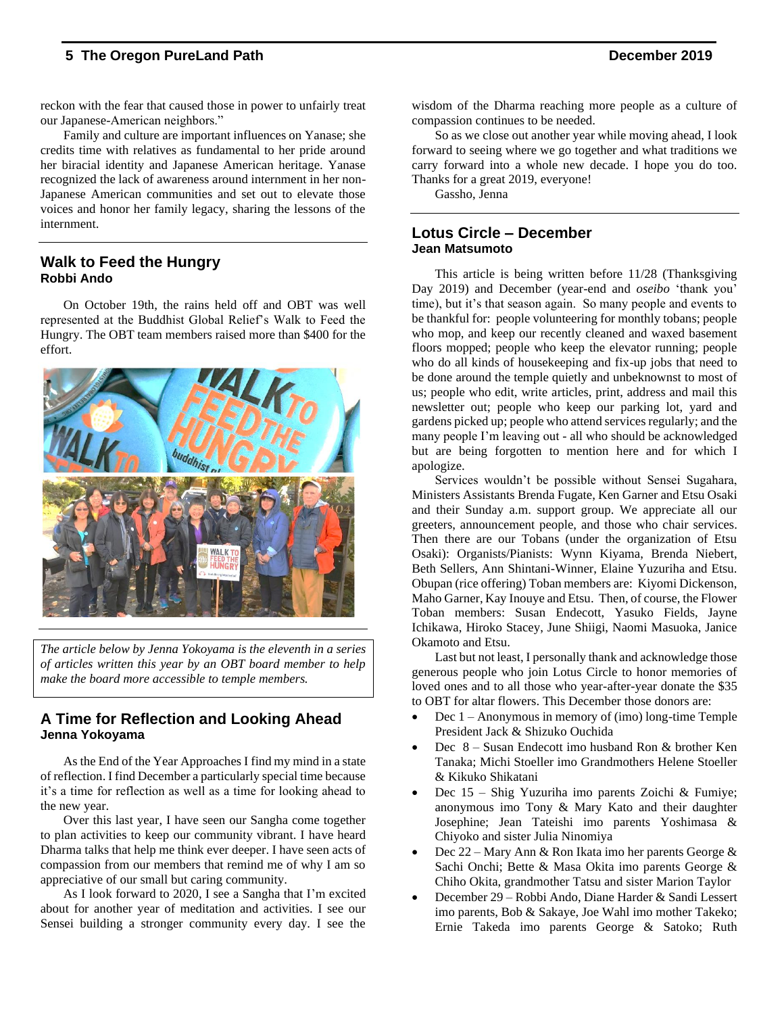reckon with the fear that caused those in power to unfairly treat our Japanese-American neighbors."

Family and culture are important influences on Yanase; she credits time with relatives as fundamental to her pride around her biracial identity and Japanese American heritage. Yanase recognized the lack of awareness around internment in her non-Japanese American communities and set out to elevate those voices and honor her family legacy, sharing the lessons of the internment.

#### **Walk to Feed the Hungry Robbi Ando**

On October 19th, the rains held off and OBT was well represented at the Buddhist Global Relief's Walk to Feed the Hungry. The OBT team members raised more than \$400 for the effort.



*The article below by Jenna Yokoyama is the eleventh in a series of articles written this year by an OBT board member to help make the board more accessible to temple members.*

#### **A Time for Reflection and Looking Ahead Jenna Yokoyama**

As the End of the Year Approaches I find my mind in a state of reflection. I find December a particularly special time because it's a time for reflection as well as a time for looking ahead to the new year.

Over this last year, I have seen our Sangha come together to plan activities to keep our community vibrant. I have heard Dharma talks that help me think ever deeper. I have seen acts of compassion from our members that remind me of why I am so appreciative of our small but caring community.

As I look forward to 2020, I see a Sangha that I'm excited about for another year of meditation and activities. I see our Sensei building a stronger community every day. I see the

wisdom of the Dharma reaching more people as a culture of compassion continues to be needed.

So as we close out another year while moving ahead, I look forward to seeing where we go together and what traditions we carry forward into a whole new decade. I hope you do too. Thanks for a great 2019, everyone!

Gassho, Jenna

#### **Lotus Circle – December Jean Matsumoto**

This article is being written before 11/28 (Thanksgiving Day 2019) and December (year-end and *oseibo* 'thank you' time), but it's that season again. So many people and events to be thankful for: people volunteering for monthly tobans; people who mop, and keep our recently cleaned and waxed basement floors mopped; people who keep the elevator running; people who do all kinds of housekeeping and fix-up jobs that need to be done around the temple quietly and unbeknownst to most of us; people who edit, write articles, print, address and mail this newsletter out; people who keep our parking lot, yard and gardens picked up; people who attend services regularly; and the many people I'm leaving out - all who should be acknowledged but are being forgotten to mention here and for which I apologize.

Services wouldn't be possible without Sensei Sugahara, Ministers Assistants Brenda Fugate, Ken Garner and Etsu Osaki and their Sunday a.m. support group. We appreciate all our greeters, announcement people, and those who chair services. Then there are our Tobans (under the organization of Etsu Osaki): Organists/Pianists: Wynn Kiyama, Brenda Niebert, Beth Sellers, Ann Shintani-Winner, Elaine Yuzuriha and Etsu. Obupan (rice offering) Toban members are: Kiyomi Dickenson, Maho Garner, Kay Inouye and Etsu. Then, of course, the Flower Toban members: Susan Endecott, Yasuko Fields, Jayne Ichikawa, Hiroko Stacey, June Shiigi, Naomi Masuoka, Janice Okamoto and Etsu.

Last but not least, I personally thank and acknowledge those generous people who join Lotus Circle to honor memories of loved ones and to all those who year-after-year donate the \$35 to OBT for altar flowers. This December those donors are:

- Dec 1 Anonymous in memory of (imo) long-time Temple President Jack & Shizuko Ouchida
- Dec 8 Susan Endecott imo husband Ron & brother Ken Tanaka; Michi Stoeller imo Grandmothers Helene Stoeller & Kikuko Shikatani
- Dec 15 Shig Yuzuriha imo parents Zoichi & Fumiye; anonymous imo Tony & Mary Kato and their daughter Josephine; Jean Tateishi imo parents Yoshimasa & Chiyoko and sister Julia Ninomiya
- Dec  $22 -$ Mary Ann & Ron Ikata imo her parents George & Sachi Onchi; Bette & Masa Okita imo parents George & Chiho Okita, grandmother Tatsu and sister Marion Taylor
- December 29 Robbi Ando, Diane Harder & Sandi Lessert imo parents, Bob & Sakaye, Joe Wahl imo mother Takeko; Ernie Takeda imo parents George & Satoko; Ruth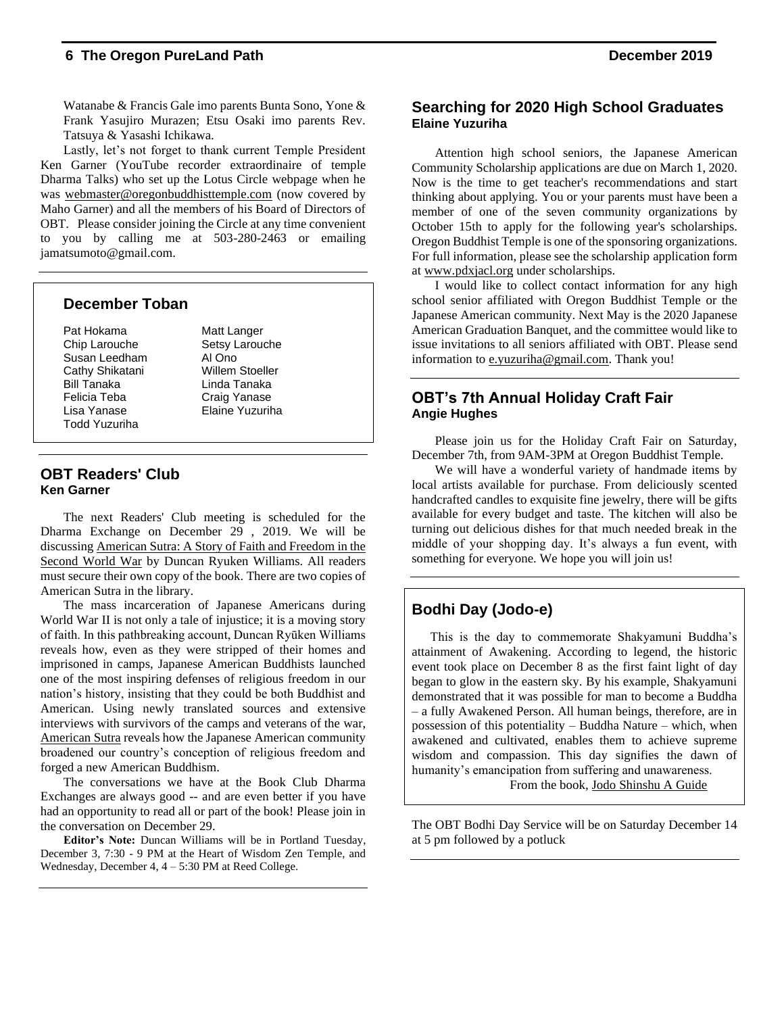Watanabe & Francis Gale imo parents Bunta Sono, Yone & Frank Yasujiro Murazen; Etsu Osaki imo parents Rev. Tatsuya & Yasashi Ichikawa.

Lastly, let's not forget to thank current Temple President Ken Garner (YouTube recorder extraordinaire of temple Dharma Talks) who set up the Lotus Circle webpage when he was [webmaster@oregonbuddhisttemple.com](mailto:webmaster@oregonbuddhisttemple.com) (now covered by Maho Garner) and all the members of his Board of Directors of OBT. Please consider joining the Circle at any time convenient to you by calling me at 503-280-2463 or emailing jamatsumoto@gmail.com.

#### **December Toban**

Pat Hokama Matt Langer Chip Larouche Setsy Larouche Susan Leedham Al Ono Cathy Shikatani Willem Stoeller Bill Tanaka Linda Tanaka Felicia Teba Craig Yanase Lisa Yanase Elaine Yuzuriha Todd Yuzuriha

#### **OBT Readers' Club Ken Garner**

The next Readers' Club meeting is scheduled for the Dharma Exchange on December 29 , 2019. We will be discussing American Sutra: A Story of Faith and Freedom in the Second World War by Duncan Ryuken Williams. All readers must secure their own copy of the book. There are two copies of American Sutra in the library.

The mass incarceration of Japanese Americans during World War II is not only a tale of injustice; it is a moving story of faith. In this pathbreaking account, Duncan Ryūken Williams reveals how, even as they were stripped of their homes and imprisoned in camps, Japanese American Buddhists launched one of the most inspiring defenses of religious freedom in our nation's history, insisting that they could be both Buddhist and American. Using newly translated sources and extensive interviews with survivors of the camps and veterans of the war, American Sutra reveals how the Japanese American community broadened our country's conception of religious freedom and forged a new American Buddhism.

The conversations we have at the Book Club Dharma Exchanges are always good -- and are even better if you have had an opportunity to read all or part of the book! Please join in the conversation on December 29.

**Editor's Note:** Duncan Williams will be in Portland Tuesday, December 3, 7:30 - 9 PM at the Heart of Wisdom Zen Temple, and Wednesday, December 4, 4 – 5:30 PM at Reed College.

#### **Searching for 2020 High School Graduates Elaine Yuzuriha**

Attention high school seniors, the Japanese American Community Scholarship applications are due on March 1, 2020. Now is the time to get teacher's recommendations and start thinking about applying. You or your parents must have been a member of one of the seven community organizations by October 15th to apply for the following year's scholarships. Oregon Buddhist Temple is one of the sponsoring organizations. For full information, please see the scholarship application form at [www.pdxjacl.org](http://www.pdxjacl.org/) under scholarships.

I would like to collect contact information for any high school senior affiliated with Oregon Buddhist Temple or the Japanese American community. Next May is the 2020 Japanese American Graduation Banquet, and the committee would like to issue invitations to all seniors affiliated with OBT. Please send information to [e.yuzuriha@gmail.com.](mailto:e.yuzuriha@gmail.com) Thank you!

#### **OBT's 7th Annual Holiday Craft Fair Angie Hughes**

Please join us for the Holiday Craft Fair on Saturday, December 7th, from 9AM-3PM at Oregon Buddhist Temple.

We will have a wonderful variety of handmade items by local artists available for purchase. From deliciously scented handcrafted candles to exquisite fine jewelry, there will be gifts available for every budget and taste. The kitchen will also be turning out delicious dishes for that much needed break in the middle of your shopping day. It's always a fun event, with something for everyone. We hope you will join us!

#### **Bodhi Day (Jodo-e)**

This is the day to commemorate Shakyamuni Buddha's attainment of Awakening. According to legend, the historic event took place on December 8 as the first faint light of day began to glow in the eastern sky. By his example, Shakyamuni demonstrated that it was possible for man to become a Buddha – a fully Awakened Person. All human beings, therefore, are in possession of this potentiality – Buddha Nature – which, when awakened and cultivated, enables them to achieve supreme wisdom and compassion. This day signifies the dawn of humanity's emancipation from suffering and unawareness. From the book, Jodo Shinshu A Guide

The OBT Bodhi Day Service will be on Saturday December 14 at 5 pm followed by a potluck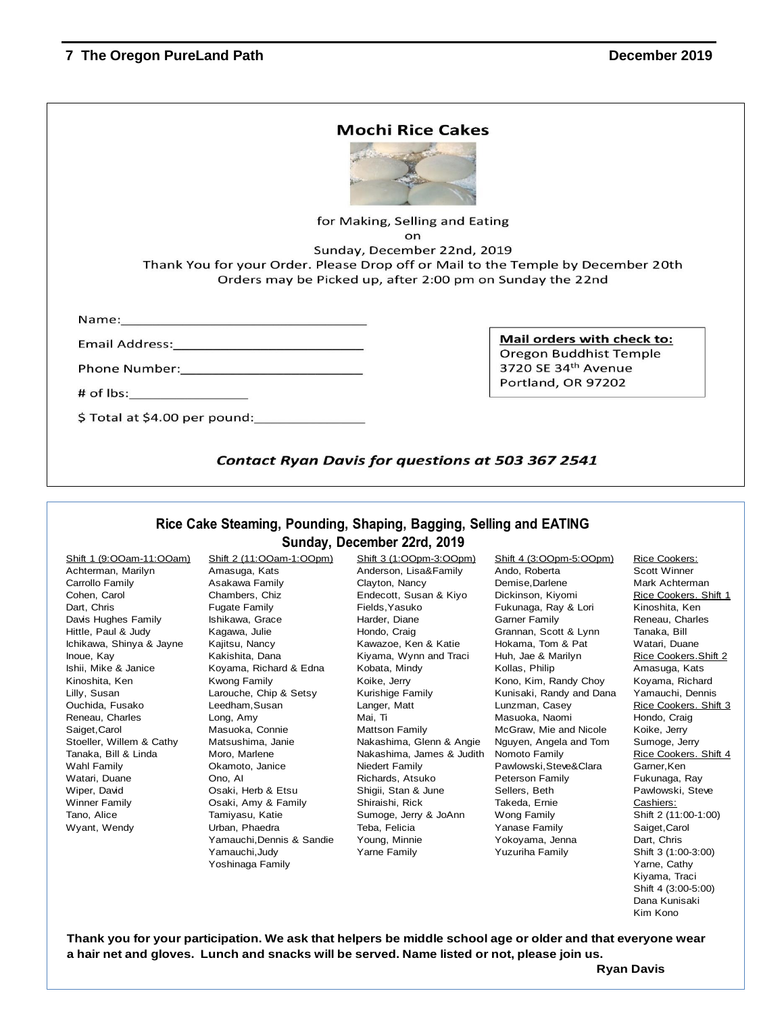|                                                                                                                                                                                                                                                                                                                                        | <b>Mochi Rice Cakes</b>                                                          |
|----------------------------------------------------------------------------------------------------------------------------------------------------------------------------------------------------------------------------------------------------------------------------------------------------------------------------------------|----------------------------------------------------------------------------------|
|                                                                                                                                                                                                                                                                                                                                        | for Making, Selling and Eating                                                   |
|                                                                                                                                                                                                                                                                                                                                        | <b>on</b>                                                                        |
|                                                                                                                                                                                                                                                                                                                                        | Sunday, December 22nd, 2019                                                      |
|                                                                                                                                                                                                                                                                                                                                        | Thank You for your Order. Please Drop off or Mail to the Temple by December 20th |
|                                                                                                                                                                                                                                                                                                                                        | Orders may be Picked up, after 2:00 pm on Sunday the 22nd                        |
|                                                                                                                                                                                                                                                                                                                                        |                                                                                  |
|                                                                                                                                                                                                                                                                                                                                        |                                                                                  |
|                                                                                                                                                                                                                                                                                                                                        |                                                                                  |
|                                                                                                                                                                                                                                                                                                                                        | Mail orders with check to:                                                       |
|                                                                                                                                                                                                                                                                                                                                        | Oregon Buddhist Temple                                                           |
|                                                                                                                                                                                                                                                                                                                                        | 3720 SE 34th Avenue                                                              |
|                                                                                                                                                                                                                                                                                                                                        | Portland, OR 97202                                                               |
|                                                                                                                                                                                                                                                                                                                                        |                                                                                  |
| Name: Name and the state of the state of the state of the state of the state of the state of the state of the state of the state of the state of the state of the state of the state of the state of the state of the state of<br>Phone Number: National Phone Number:<br># of lbs:__________________<br>\$ Total at \$4.00 per pound: |                                                                                  |

#### **Rice Cake Steaming, Pounding, Shaping, Bagging, Selling and EATING Sunday, December 22rd, 2019**

Achterman, Marilyn **Amasuga, Kats Anderson, Lisa&Family** Ando, Roberta Scott Winner Carrollo Family Asakawa Family Clayton, Nancy Demise,Darlene Mark Achterman Cohen, Carol Chambers, Chiz Endecott, Susan & Kiyo Dickinson, Kiyomi Rice Cookers. Shift 1 Dart, Chris **Framily Fugate Family** Fields, Yasuko Fukunaga, Ray & Lori Kinoshita, Ken Davis Hughes Family **International Ishikawa, Grace Harder, Diane Garner Family** Reneau, Charles Hittle, Paul & Judy **Kagawa, Julie Chondo, Craig Craig Craig Grannan**, Scott & Lynn Tanaka, Bill Ichikawa, Shinya & Jayne Kajitsu, Nancy **Kawazoe, Ken & Katie Kakama, Tom & Pat** Watari, Duane Inoue, Kay **Kakishita, Dana** Kiyama, Wynn and Traci Huh, Jae & Marilyn Rice Cookers.Shift 2 Ishii, Mike & Janice Koyama, Richard & Edna Kobata, Mindy Kollas, Philip Amasuga, Kats Kinoshita, Ken **Kwong Family Koke, Jerry Kono, Kim, Randy Choy** Koyama, Richard Lilly, Susan **Larouche, Chip & Setsy Kurishige Family** Kunisaki, Randy and Dana Yamauchi, Dennis Ouchida, Fusako Leedham, Susan Langer, Matt Lunzman, Casey Rice Cookers. Shift 3 Reneau, Charles **Long, Amy Charles Communist Charles Communist Communist Communist Communist Communist Communist Communist Communist Communist Communist Communist Communist Communist Communist Communist Communist Communist** Saiget,Carol Masuoka, Connie Mattson Family McGraw, Mie and Nicole Koike, Jerry Stoeller, Willem & Cathy Matsushima, Janie Nakashima, Glenn & Angie Nguyen, Angela and Tom Sumoge, Jerry Tanaka, Bill & Linda Moro, Marlene Nakashima, James & Judith Nomoto Family Rice Cookers. Shift 4 Wahl Family **Solut Commoto, Janice** Niedert Family **Pawlowski,Steve&Clara** Garner,Ken Watari, Duane **Calci Cono, AI Richards, Atsuko Peterson Family** Fukunaga, Ray Wiper, David **Canadia Cosact, Herb & Etsu** Shigii, Stan & June Sellers, Beth Pawlowski, Steve Winner Family **Cannic Concept Casact**, Amy & Family Shiraishi, Rick Takeda, Ernie Cashiers: Tamo, Alice Tamiyasu, Katie Sumoge, Jerry & JoAnn Wong Family Shift 2 (11:00-1:00) Wyant, Wendy **Saiget,Carol Urban, Phaedra** Teba, Felicia **Nanase Family Saiget,Carol** Vanase Family Saiget,Carol Yamauchi,Dennis & Sandie Young, Minnie Yokoyama, Jenna Dart, Chris Yamauchi,Judy Yarne Family Yuzuriha Family Shift 3 (1:00-3:00)

Shift 1 (9:OOam-11:OOam) Shift 2 (11:OOam-1:OOpm) Shift 3 (1:OOpm-3:OOpm) Shift 4 (3:OOpm-5:OOpm) Rice Cookers:

Yoshinaga Family Yarne, Cathy Kiyama, Traci Shift 4 (3:00-5:00) Dana Kunisaki Kim Kono

**Thank you for your participation. We ask that helpers be middle school age or older and that everyone wear a hair net and gloves. Lunch and snacks will be served. Name listed or not, please join us.**